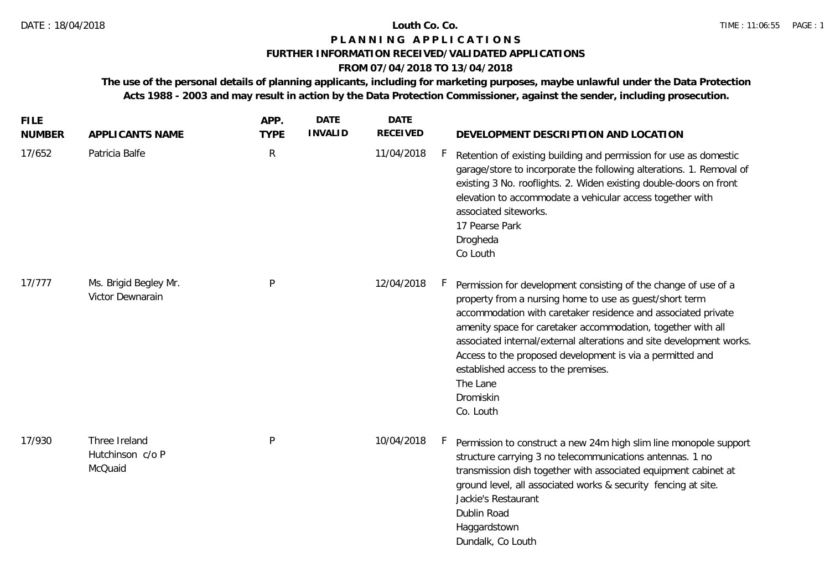## **P L A N N I N G A P P L I C A T I O N S**

### **FURTHER INFORMATION RECEIVED/VALIDATED APPLICATIONS**

# **FROM 07/04/2018 TO 13/04/2018**

**The use of the personal details of planning applicants, including for marketing purposes, maybe unlawful under the Data Protection Acts 1988 - 2003 and may result in action by the Data Protection Commissioner, against the sender, including prosecution.**

| <b>FILE</b><br><b>NUMBER</b> | APPLICANTS NAME                              | APP.<br><b>TYPE</b> | <b>DATE</b><br><b>INVALID</b> | <b>DATE</b><br><b>RECEIVED</b> |     | DEVELOPMENT DESCRIPTION AND LOCATION                                                                                                                                                                                                                                                                                                                                                                                                                                          |  |
|------------------------------|----------------------------------------------|---------------------|-------------------------------|--------------------------------|-----|-------------------------------------------------------------------------------------------------------------------------------------------------------------------------------------------------------------------------------------------------------------------------------------------------------------------------------------------------------------------------------------------------------------------------------------------------------------------------------|--|
| 17/652                       | Patricia Balfe                               | ${\sf R}$           |                               | 11/04/2018                     | F.  | Retention of existing building and permission for use as domestic<br>garage/store to incorporate the following alterations. 1. Removal of<br>existing 3 No. rooflights. 2. Widen existing double-doors on front<br>elevation to accommodate a vehicular access together with<br>associated siteworks.<br>17 Pearse Park<br>Drogheda<br>Co Louth                                                                                                                               |  |
| 17/777                       | Ms. Brigid Begley Mr.<br>Victor Dewnarain    | $\mathsf{P}$        |                               | 12/04/2018                     | h., | Permission for development consisting of the change of use of a<br>property from a nursing home to use as guest/short term<br>accommodation with caretaker residence and associated private<br>amenity space for caretaker accommodation, together with all<br>associated internal/external alterations and site development works.<br>Access to the proposed development is via a permitted and<br>established access to the premises.<br>The Lane<br>Dromiskin<br>Co. Louth |  |
| 17/930                       | Three Ireland<br>Hutchinson c/o P<br>McQuaid | $\sf P$             |                               | 10/04/2018                     | F.  | Permission to construct a new 24m high slim line monopole support<br>structure carrying 3 no telecommunications antennas. 1 no<br>transmission dish together with associated equipment cabinet at<br>ground level, all associated works & security fencing at site.<br>Jackie's Restaurant<br>Dublin Road<br>Haggardstown<br>Dundalk, Co Louth                                                                                                                                |  |